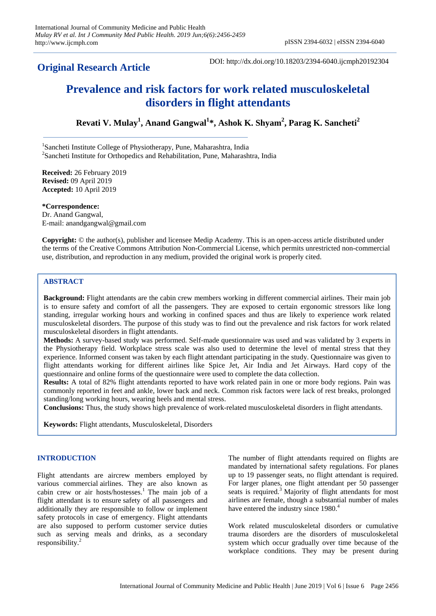# **Original Research Article**

DOI: http://dx.doi.org/10.18203/2394-6040.ijcmph20192304

# **Prevalence and risk factors for work related musculoskeletal disorders in flight attendants**

**Revati V. Mulay<sup>1</sup> , Anand Gangwal<sup>1</sup> \*, Ashok K. Shyam<sup>2</sup> , Parag K. Sancheti<sup>2</sup>**

<sup>1</sup>Sancheti Institute College of Physiotherapy, Pune, Maharashtra, India <sup>2</sup>Sancheti Institute for Orthopedics and Rehabilitation, Pune, Maharashtra, India

**Received:** 26 February 2019 **Revised:** 09 April 2019 **Accepted:** 10 April 2019

**\*Correspondence:** Dr. Anand Gangwal, E-mail: anandgangwal@gmail.com

**Copyright:** © the author(s), publisher and licensee Medip Academy. This is an open-access article distributed under the terms of the Creative Commons Attribution Non-Commercial License, which permits unrestricted non-commercial use, distribution, and reproduction in any medium, provided the original work is properly cited.

# **ABSTRACT**

**Background:** Flight attendants are the cabin crew members working in different commercial airlines. Their main job is to ensure safety and comfort of all the passengers. They are exposed to certain ergonomic stressors like long standing, irregular working hours and working in confined spaces and thus are likely to experience work related musculoskeletal disorders. The purpose of this study was to find out the prevalence and risk factors for work related musculoskeletal disorders in flight attendants.

**Methods:** A survey-based study was performed. Self-made questionnaire was used and was validated by 3 experts in the Physiotherapy field. Workplace stress scale was also used to determine the level of mental stress that they experience. Informed consent was taken by each flight attendant participating in the study. Questionnaire was given to flight attendants working for different airlines like Spice Jet, Air India and Jet Airways. Hard copy of the questionnaire and online forms of the questionnaire were used to complete the data collection.

**Results:** A total of 82% flight attendants reported to have work related pain in one or more body regions. Pain was commonly reported in feet and ankle, lower back and neck. Common risk factors were lack of rest breaks, prolonged standing/long working hours, wearing heels and mental stress.

**Conclusions:** Thus, the study shows high prevalence of work-related musculoskeletal disorders in flight attendants.

**Keywords:** Flight attendants, Musculoskeletal, Disorders

# **INTRODUCTION**

Flight attendants are aircrew members employed by various commercial airlines. They are also known as cabin crew or air hosts/hostesses.<sup>1</sup> The main job of a flight attendant is to ensure safety of all passengers and additionally they are responsible to follow or implement safety protocols in case of emergency. Flight attendants are also supposed to perform customer service duties such as serving meals and drinks, as a secondary responsibility.<sup>2</sup>

The number of flight attendants required on flights are mandated by international safety regulations. For planes up to 19 passenger seats, no flight attendant is required. For larger planes, one flight attendant per 50 passenger seats is required.<sup>3</sup> Majority of flight attendants for most airlines are female, though a substantial number of males have entered the industry since 1980.<sup>4</sup>

Work related musculoskeletal disorders or cumulative trauma disorders are the disorders of musculoskeletal system which occur gradually over time because of the workplace conditions. They may be present during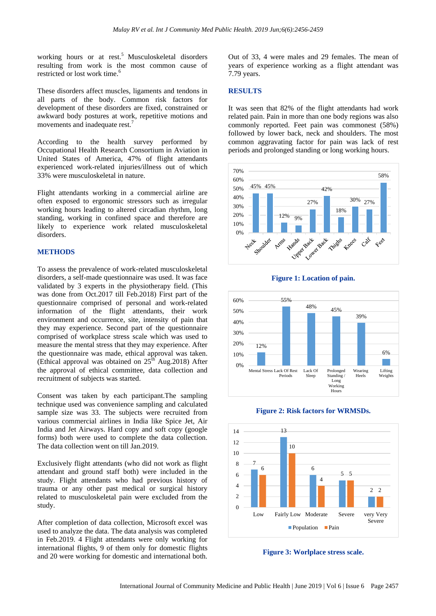working hours or at rest.<sup>5</sup> Musculoskeletal disorders resulting from work is the most common cause of restricted or lost work time.<sup>6</sup>

These disorders affect muscles, ligaments and tendons in all parts of the body. Common risk factors for development of these disorders are fixed, constrained or awkward body postures at work, repetitive motions and movements and inadequate rest.<sup>7</sup>

According to the health survey performed by Occupational Health Research Consortium in Aviation in United States of America, 47% of flight attendants experienced work-related injuries/illness out of which 33% were musculoskeletal in nature.

Flight attendants working in a commercial airline are often exposed to ergonomic stressors such as irregular working hours leading to altered circadian rhythm, long standing, working in confined space and therefore are likely to experience work related musculoskeletal disorders.

## **METHODS**

To assess the prevalence of work-related musculoskeletal disorders, a self-made questionnaire was used. It was face validated by 3 experts in the physiotherapy field. (This was done from Oct.2017 till Feb.2018) First part of the questionnaire comprised of personal and work-related information of the flight attendants, their work environment and occurrence, site, intensity of pain that they may experience. Second part of the questionnaire comprised of workplace stress scale which was used to measure the mental stress that they may experience. After the questionnaire was made, ethical approval was taken. (Ethical approval was obtained on  $25<sup>th</sup>$  Aug.2018) After the approval of ethical committee, data collection and recruitment of subjects was started.

Consent was taken by each participant.The sampling technique used was convenience sampling and calculated sample size was 33. The subjects were recruited from various commercial airlines in India like Spice Jet, Air India and Jet Airways. Hard copy and soft copy (google forms) both were used to complete the data collection. The data collection went on till Jan.2019.

Exclusively flight attendants (who did not work as flight attendant and ground staff both) were included in the study. Flight attendants who had previous history of trauma or any other past medical or surgical history related to musculoskeletal pain were excluded from the study.

After completion of data collection, Microsoft excel was used to analyze the data. The data analysis was completed in Feb.2019. 4 Flight attendants were only working for international flights, 9 of them only for domestic flights and 20 were working for domestic and international both.

Out of 33, 4 were males and 29 females. The mean of years of experience working as a flight attendant was 7.79 years.

# **RESULTS**

It was seen that 82% of the flight attendants had work related pain. Pain in more than one body regions was also commonly reported. Feet pain was commonest (58%) followed by lower back, neck and shoulders. The most common aggravating factor for pain was lack of rest periods and prolonged standing or long working hours.





**Figure 1: Location of pain.**





**Figure 2: Risk factors for WRMSDs.**

**Figure 3: Worlplace stress scale.**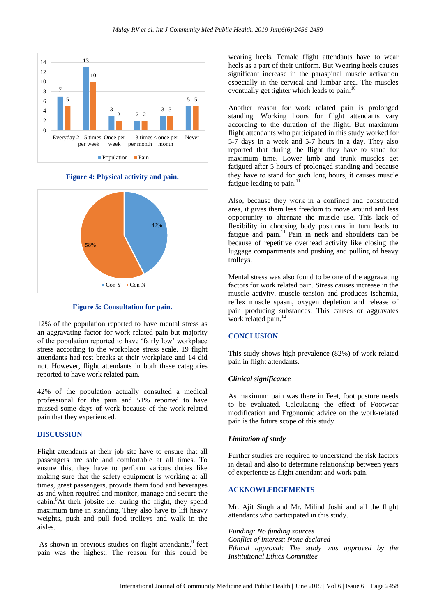

**Figure 4: Physical activity and pain.**



#### **Figure 5: Consultation for pain.**

12% of the population reported to have mental stress as an aggravating factor for work related pain but majority of the population reported to have 'fairly low' workplace stress according to the workplace stress scale. 19 flight attendants had rest breaks at their workplace and 14 did not. However, flight attendants in both these categories reported to have work related pain.

42% of the population actually consulted a medical professional for the pain and 51% reported to have missed some days of work because of the work-related pain that they experienced.

# **DISCUSSION**

Flight attendants at their job site have to ensure that all passengers are safe and comfortable at all times. To ensure this, they have to perform various duties like making sure that the safety equipment is working at all times, greet passengers, provide them food and beverages as and when required and monitor, manage and secure the cabin.<sup>8</sup>At their jobsite i.e. during the flight, they spend maximum time in standing. They also have to lift heavy weights, push and pull food trolleys and walk in the aisles.

As shown in previous studies on flight attendants,<sup>9</sup> feet pain was the highest. The reason for this could be

wearing heels. Female flight attendants have to wear heels as a part of their uniform. But Wearing heels causes significant increase in the paraspinal muscle activation especially in the cervical and lumbar area. The muscles eventually get tighter which leads to pain.<sup>10</sup>

Another reason for work related pain is prolonged standing. Working hours for flight attendants vary according to the duration of the flight. But maximum flight attendants who participated in this study worked for 5-7 days in a week and 5-7 hours in a day. They also reported that during the flight they have to stand for maximum time. Lower limb and trunk muscles get fatigued after 5 hours of prolonged standing and because they have to stand for such long hours, it causes muscle fatigue leading to pain.<sup>11</sup>

Also, because they work in a confined and constricted area, it gives them less freedom to move around and less opportunity to alternate the muscle use. This lack of flexibility in choosing body positions in turn leads to fatigue and pain.<sup>11</sup> Pain in neck and shoulders can be because of repetitive overhead activity like closing the luggage compartments and pushing and pulling of heavy trolleys.

Mental stress was also found to be one of the aggravating factors for work related pain. Stress causes increase in the muscle activity, muscle tension and produces ischemia, reflex muscle spasm, oxygen depletion and release of pain producing substances. This causes or aggravates work related pain.<sup>12</sup>

## **CONCLUSION**

This study shows high prevalence (82%) of work-related pain in flight attendants.

#### *Clinical significance*

As maximum pain was there in Feet, foot posture needs to be evaluated. Calculating the effect of Footwear modification and Ergonomic advice on the work-related pain is the future scope of this study.

#### *Limitation of study*

Further studies are required to understand the risk factors in detail and also to determine relationship between years of experience as flight attendant and work pain.

# **ACKNOWLEDGEMENTS**

Mr. Ajit Singh and Mr. Milind Joshi and all the flight attendants who participated in this study.

*Funding: No funding sources Conflict of interest: None declared Ethical approval: The study was approved by the Institutional Ethics Committee*